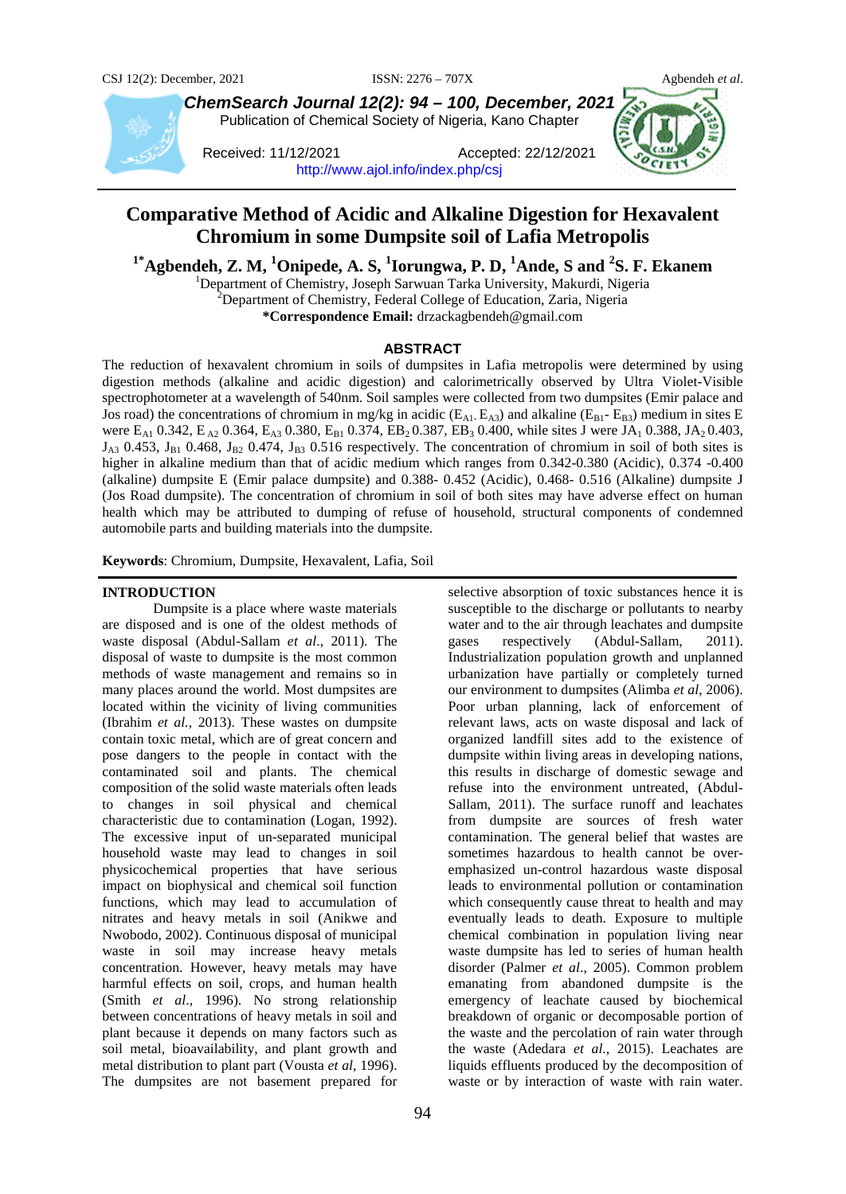

*ChemSearch Journal 12(2): 94 – 100, December, 2021* Publication of Chemical Society of Nigeria, Kano Chapter

Received: 11/12/2021 Accepted: 22/12/2021 <http://www.ajol.info/index.php/csj>



# **Comparative Method of Acidic and Alkaline Digestion for Hexavalent Chromium in some Dumpsite soil of Lafia Metropolis**

<sup>1\*</sup>**Agbendeh, Z. M, <sup>1</sup>Onipede, A. S, <sup>1</sup>Iorungwa, P. D, <sup>1</sup>Ande, S and <sup>2</sup>S. F. Ekanem<br>
<sup>1</sup> Department of Chamistry, Jacoph Sarwyan Tarka University, Makurdi, Nigarja** 

<sup>1</sup>Department of Chemistry, Joseph Sarwuan Tarka University, Makurdi, Nigeria  $^{2}$ Department of Chemistry, Federal College of Education, Zaria, Nigeria

**\*Correspondence Email:** drzackagbendeh@gmail.com

## **ABSTRACT**

The reduction of hexavalent chromium in soils of dumpsites in Lafia metropolis were determined by using digestion methods (alkaline and acidic digestion) and calorimetrically observed by Ultra Violet-Visible spectrophotometer at a wavelength of 540nm. Soil samples were collected from two dumpsites (Emir palace and Jos road) the concentrations of chromium in mg/kg in acidic ( $E_{A1}$ ,  $E_{A3}$ ) and alkaline ( $E_{B1}$ -  $E_{B3}$ ) medium in sites E were E<sub>A1</sub> 0.342, E<sub>A2</sub> 0.364, E<sub>A3</sub> 0.380, E<sub>B1</sub> 0.374, EB<sub>2</sub> 0.387, EB<sub>3</sub> 0.400, while sites J were JA<sub>1</sub> 0.388, JA<sub>2</sub> 0.403,  $J_{A3}$  0.453,  $J_{B1}$  0.468,  $J_{B2}$  0.474,  $J_{B3}$  0.516 respectively. The concentration of chromium in soil of both sites is higher in alkaline medium than that of acidic medium which ranges from 0.342-0.380 (Acidic), 0.374 -0.400 (alkaline) dumpsite E (Emir palace dumpsite) and 0.388- 0.452 (Acidic), 0.468- 0.516 (Alkaline) dumpsite J (Jos Road dumpsite). The concentration of chromium in soil of both sites may have adverse effect on human health which may be attributed to dumping of refuse of household, structural components of condemned automobile parts and building materials into the dumpsite*.*

**Keywords**: Chromium, Dumpsite, Hexavalent, Lafia, Soil

#### **INTRODUCTION**

Dumpsite is a place where waste materials are disposed and is one of the oldest methods of waste disposal (Abdul-Sallam *et al*., 2011). The disposal of waste to dumpsite is the most common methods of waste management and remains so in many places around the world. Most dumpsites are located within the vicinity of living communities (Ibrahim *et al.,* 2013). These wastes on dumpsite contain toxic metal, which are of great concern and pose dangers to the people in contact with the contaminated soil and plants. The chemical composition of the solid waste materials often leads to changes in soil physical and chemical characteristic due to contamination (Logan, 1992). The excessive input of un-separated municipal household waste may lead to changes in soil physicochemical properties that have serious impact on biophysical and chemical soil function functions, which may lead to accumulation of nitrates and heavy metals in soil (Anikwe and Nwobodo, 2002). Continuous disposal of municipal waste in soil may increase heavy metals concentration. However, heavy metals may have harmful effects on soil, crops, and human health (Smith *et al*., 1996). No strong relationship between concentrations of heavy metals in soil and plant because it depends on many factors such as soil metal, bioavailability, and plant growth and metal distribution to plant part (Vousta *et al*, 1996). The dumpsites are not basement prepared for

water and to the air through leachates and dumpsite gases respectively (Abdul-Sallam, 2011). Industrialization population growth and unplanned urbanization have partially or completely turned our environment to dumpsites (Alimba *et al*, 2006). Poor urban planning, lack of enforcement of relevant laws, acts on waste disposal and lack of organized landfill sites add to the existence of dumpsite within living areas in developing nations, this results in discharge of domestic sewage and refuse into the environment untreated, (Abdul-Sallam, 2011). The surface runoff and leachates from dumpsite are sources of fresh water contamination. The general belief that wastes are sometimes hazardous to health cannot be overemphasized un-control hazardous waste disposal leads to environmental pollution or contamination which consequently cause threat to health and may eventually leads to death. Exposure to multiple chemical combination in population living near waste dumpsite has led to series of human health disorder (Palmer *et al*., 2005). Common problem emanating from abandoned dumpsite is the emergency of leachate caused by biochemical breakdown of organic or decomposable portion of the waste and the percolation of rain water through the waste (Adedara *et al*., 2015). Leachates are liquids effluents produced by the decomposition of waste or by interaction of waste with rain water.

selective absorption of toxic substances hence it is susceptible to the discharge or pollutants to nearby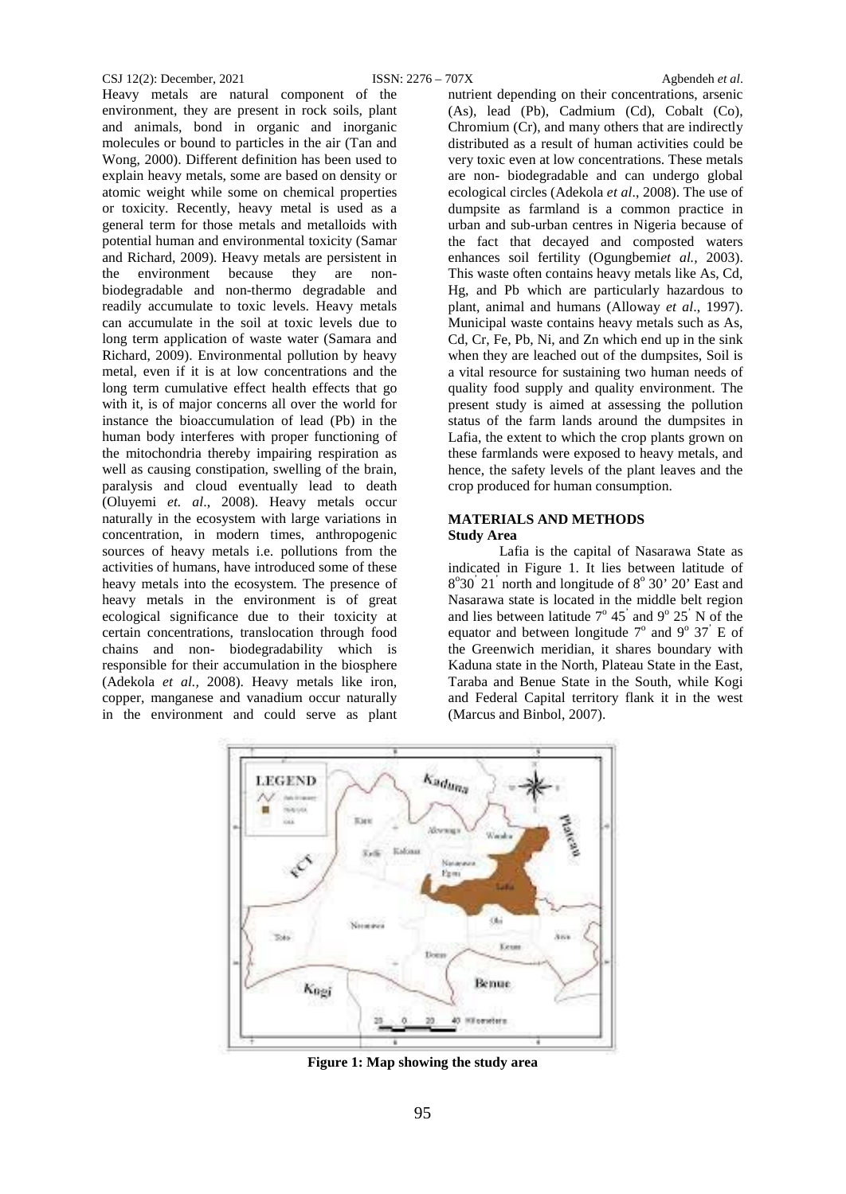#### CSJ 12(2): December, 2021 ISSN: 2276 – 707X Agbendeh *et al*.

Heavy metals are natural component of the environment, they are present in rock soils, plant and animals, bond in organic and inorganic molecules or bound to particles in the air (Tan and Wong, 2000). Different definition has been used to explain heavy metals, some are based on density or atomic weight while some on chemical properties or toxicity. Recently, heavy metal is used as a general term for those metals and metalloids with potential human and environmental toxicity (Samar and Richard, 2009). Heavy metals are persistent in the environment because they are nonbiodegradable and non-thermo degradable and readily accumulate to toxic levels. Heavy metals can accumulate in the soil at toxic levels due to long term application of waste water (Samara and Richard, 2009). Environmental pollution by heavy metal, even if it is at low concentrations and the long term cumulative effect health effects that go with it, is of major concerns all over the world for instance the bioaccumulation of lead (Pb) in the human body interferes with proper functioning of the mitochondria thereby impairing respiration as well as causing constipation, swelling of the brain, paralysis and cloud eventually lead to death (Oluyemi *et. al*., 2008). Heavy metals occur naturally in the ecosystem with large variations in concentration, in modern times, anthropogenic sources of heavy metals i.e. pollutions from the activities of humans, have introduced some of these heavy metals into the ecosystem. The presence of heavy metals in the environment is of great ecological significance due to their toxicity at certain concentrations, translocation through food chains and non- biodegradability which is responsible for their accumulation in the biosphere (Adekola *et al.,* 2008). Heavy metals like iron, copper, manganese and vanadium occur naturally in the environment and could serve as plant

nutrient depending on their concentrations, arsenic (As), lead (Pb), Cadmium (Cd), Cobalt (Co), Chromium (Cr), and many others that are indirectly distributed as a result of human activities could be very toxic even at low concentrations. These metals are non- biodegradable and can undergo global ecological circles (Adekola *et al*., 2008). The use of dumpsite as farmland is a common practice in urban and sub-urban centres in Nigeria because of the fact that decayed and composted waters enhances soil fertility (Ogungbemi*et al.,* 2003). This waste often contains heavy metals like As, Cd, Hg, and Pb which are particularly hazardous to plant, animal and humans (Alloway *et al*., 1997). Municipal waste contains heavy metals such as As, Cd, Cr, Fe, Pb, Ni, and Zn which end up in the sink when they are leached out of the dumpsites, Soil is a vital resource for sustaining two human needs of quality food supply and quality environment. The present study is aimed at assessing the pollution status of the farm lands around the dumpsites in Lafia, the extent to which the crop plants grown on these farmlands were exposed to heavy metals, and hence, the safety levels of the plant leaves and the crop produced for human consumption.

#### **MATERIALS AND METHODS Study Area**

Lafia is the capital of Nasarawa State as indicated in Figure 1. It lies between latitude of 8°30<sup>'</sup> 21<sup>'</sup> north and longitude of 8° 30' 20' East and Nasarawa state is located in the middle belt region and lies between latitude  $7^{\circ}$  45<sup>'</sup> and  $9^{\circ}$  25<sup>'</sup> N of the equator and between longitude  $7^\circ$  and  $9^\circ$  37<sup>'</sup> E of the Greenwich meridian, it shares boundary with Kaduna state in the North, Plateau State in the East, Taraba and Benue State in the South, while Kogi and Federal Capital territory flank it in the west (Marcus and Binbol, 2007).



**Figure 1: Map showing the study area**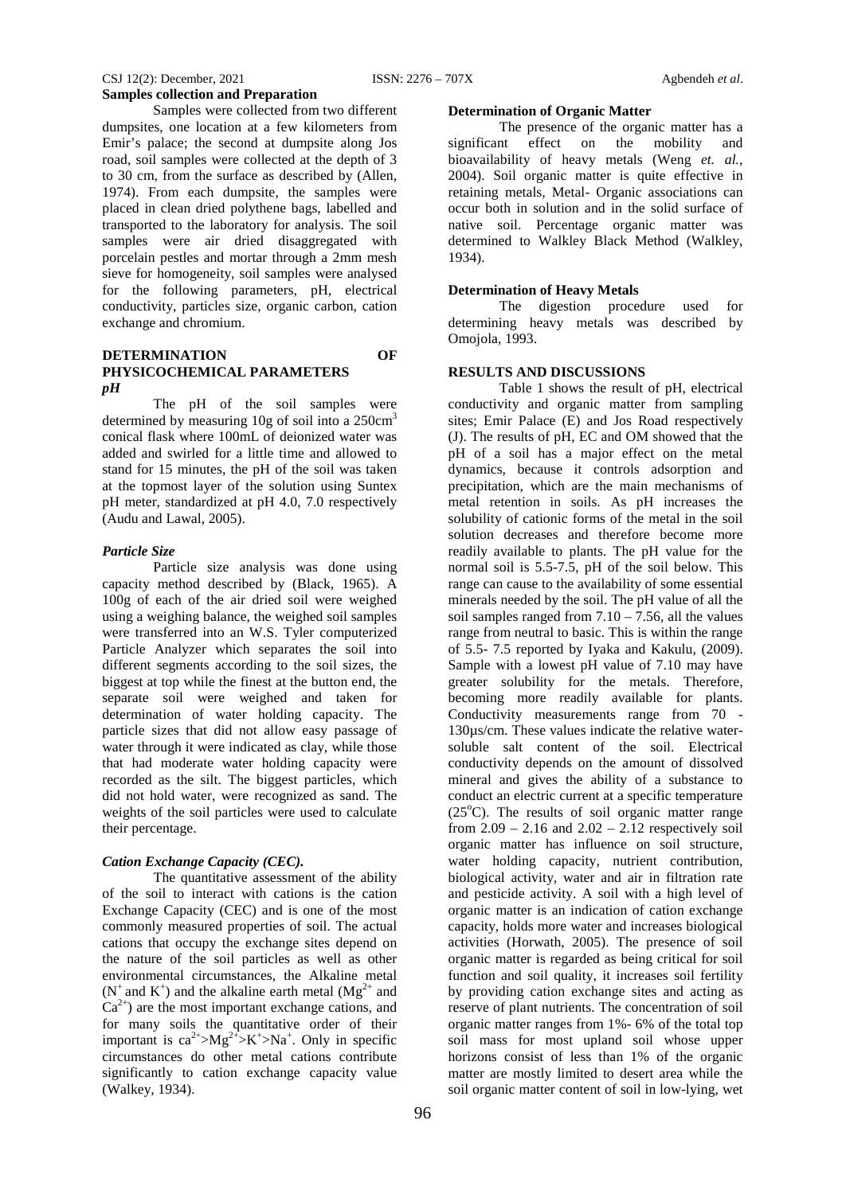## CSJ 12(2): December, 2021 ISSN: 2276 – 707X Agbendeh *et al*. **Samples collection and Preparation**

Samples were collected from two different dumpsites, one location at a few kilometers from Emir's palace; the second at dumpsite along Jos road, soil samples were collected at the depth of 3 to 30 cm, from the surface as described by (Allen, 1974). From each dumpsite, the samples were placed in clean dried polythene bags, labelled and transported to the laboratory for analysis. The soil samples were air dried disaggregated with porcelain pestles and mortar through a 2mm mesh sieve for homogeneity, soil samples were analysed for the following parameters, pH, electrical conductivity, particles size, organic carbon, cation exchange and chromium.

## **DETERMINATION OF PHYSICOCHEMICAL PARAMETERS**  *pH*

The pH of the soil samples were determined by measuring  $10g$  of soil into a  $250cm<sup>3</sup>$ conical flask where 100mL of deionized water was added and swirled for a little time and allowed to stand for 15 minutes, the pH of the soil was taken at the topmost layer of the solution using Suntex pH meter, standardized at pH 4.0, 7.0 respectively (Audu and Lawal, 2005).

#### *Particle Size*

Particle size analysis was done using capacity method described by (Black, 1965). A 100g of each of the air dried soil were weighed using a weighing balance, the weighed soil samples were transferred into an W.S. Tyler computerized Particle Analyzer which separates the soil into different segments according to the soil sizes, the biggest at top while the finest at the button end, the separate soil were weighed and taken for determination of water holding capacity. The particle sizes that did not allow easy passage of water through it were indicated as clay, while those that had moderate water holding capacity were recorded as the silt. The biggest particles, which did not hold water, were recognized as sand. The weights of the soil particles were used to calculate their percentage.

#### *Cation Exchange Capacity (CEC).*

The quantitative assessment of the ability of the soil to interact with cations is the cation Exchange Capacity (CEC) and is one of the most commonly measured properties of soil. The actual cations that occupy the exchange sites depend on the nature of the soil particles as well as other environmental circumstances, the Alkaline metal  $(N^+$  and  $K^+$ ) and the alkaline earth metal  $(Mg^{2+})$  and  $Ca^{2+}$ ) are the most important exchange cations, and for many soils the quantitative order of their important is  $ca^{2+} > Mg^{2+} > K^+ > Na^+$ . Only in specific circumstances do other metal cations contribute significantly to cation exchange capacity value (Walkey, 1934).

#### **Determination of Organic Matter**

The presence of the organic matter has a significant effect on the mobility and bioavailability of heavy metals (Weng *et. al.,* 2004). Soil organic matter is quite effective in retaining metals, Metal- Organic associations can occur both in solution and in the solid surface of native soil. Percentage organic matter was determined to Walkley Black Method (Walkley, 1934).

## **Determination of Heavy Metals**

The digestion procedure used for determining heavy metals was described by Omojola, 1993.

#### **RESULTS AND DISCUSSIONS**

Table 1 shows the result of pH, electrical conductivity and organic matter from sampling sites; Emir Palace (E) and Jos Road respectively (J). The results of pH, EC and OM showed that the pH of a soil has a major effect on the metal dynamics, because it controls adsorption and precipitation, which are the main mechanisms of metal retention in soils. As pH increases the solubility of cationic forms of the metal in the soil solution decreases and therefore become more readily available to plants. The pH value for the normal soil is 5.5-7.5, pH of the soil below. This range can cause to the availability of some essential minerals needed by the soil. The pH value of all the soil samples ranged from  $7.10 - 7.56$ , all the values range from neutral to basic. This is within the range of 5.5- 7.5 reported by Iyaka and Kakulu, (2009). Sample with a lowest pH value of 7.10 may have greater solubility for the metals. Therefore, becoming more readily available for plants. Conductivity measurements range from 70 - 130µs/cm. These values indicate the relative watersoluble salt content of the soil. Electrical conductivity depends on the amount of dissolved mineral and gives the ability of a substance to conduct an electric current at a specific temperature (25°C). The results of soil organic matter range from  $2.09 - 2.16$  and  $2.02 - 2.12$  respectively soil organic matter has influence on soil structure, water holding capacity, nutrient contribution, biological activity, water and air in filtration rate and pesticide activity. A soil with a high level of organic matter is an indication of cation exchange capacity, holds more water and increases biological activities (Horwath, 2005). The presence of soil organic matter is regarded as being critical for soil function and soil quality, it increases soil fertility by providing cation exchange sites and acting as reserve of plant nutrients. The concentration of soil organic matter ranges from 1%- 6% of the total top soil mass for most upland soil whose upper horizons consist of less than 1% of the organic matter are mostly limited to desert area while the soil organic matter content of soil in low-lying, wet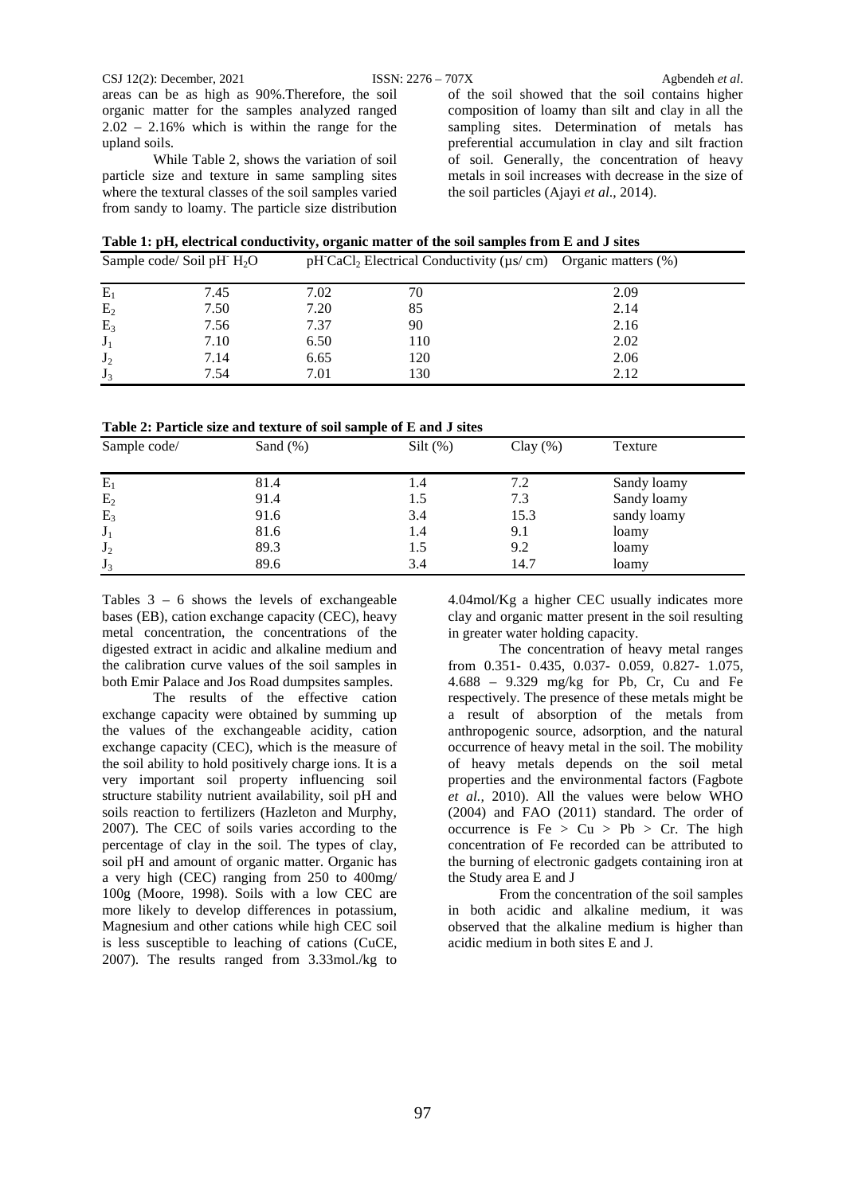areas can be as high as 90%.Therefore, the soil organic matter for the samples analyzed ranged 2.02 – 2.16% which is within the range for the upland soils.

While Table 2, shows the variation of soil particle size and texture in same sampling sites where the textural classes of the soil samples varied from sandy to loamy. The particle size distribution of the soil showed that the soil contains higher composition of loamy than silt and clay in all the sampling sites. Determination of metals has preferential accumulation in clay and silt fraction of soil. Generally, the concentration of heavy metals in soil increases with decrease in the size of the soil particles (Ajayi *et al*., 2014).

|  | Table 1: pH, electrical conductivity, organic matter of the soil samples from E and J sites |
|--|---------------------------------------------------------------------------------------------|
|  |                                                                                             |

|                | Sample code/Soil pH $H_2O$ |      | $pH'CaCl_2$ Electrical Conductivity ( $\mu s/cm$ ) Organic matters (%) |      |
|----------------|----------------------------|------|------------------------------------------------------------------------|------|
| $E_1$          | 7.45                       | 7.02 | 70                                                                     | 2.09 |
| E <sub>2</sub> | 7.50                       | 7.20 | 85                                                                     | 2.14 |
| $E_3$          | 7.56                       | 7.37 | 90                                                                     | 2.16 |
| $J_1$          | 7.10                       | 6.50 | 110                                                                    | 2.02 |
| $J_2$          | 7.14                       | 6.65 | 120                                                                    | 2.06 |
| $J_3$          | 7.54                       | 7.01 | 130                                                                    | 2.12 |

|  |  | Table 2: Particle size and texture of soil sample of E and J sites |  |  |  |  |  |
|--|--|--------------------------------------------------------------------|--|--|--|--|--|
|--|--|--------------------------------------------------------------------|--|--|--|--|--|

| Sample code/   | Sand $(\%)$ | Silt $(\%)$ | Clay $(\%)$ | Texture     |  |
|----------------|-------------|-------------|-------------|-------------|--|
| $E_1$          | 81.4        | 1.4         | 7.2         | Sandy loamy |  |
| E <sub>2</sub> | 91.4        | 1.5         | 7.3         | Sandy loamy |  |
| $E_3$          | 91.6        | 3.4         | 15.3        | sandy loamy |  |
| $J_1$          | 81.6        | 1.4         | 9.1         | loamy       |  |
| $J_2$          | 89.3        | 1.5         | 9.2         | loamy       |  |
| $J_3$          | 89.6        | 3.4         | 14.7        | loamy       |  |

Tables 3 – 6 shows the levels of exchangeable bases (EB), cation exchange capacity (CEC), heavy metal concentration, the concentrations of the digested extract in acidic and alkaline medium and the calibration curve values of the soil samples in both Emir Palace and Jos Road dumpsites samples.

The results of the effective cation exchange capacity were obtained by summing up the values of the exchangeable acidity, cation exchange capacity (CEC), which is the measure of the soil ability to hold positively charge ions. It is a very important soil property influencing soil structure stability nutrient availability, soil pH and soils reaction to fertilizers (Hazleton and Murphy, 2007). The CEC of soils varies according to the percentage of clay in the soil. The types of clay, soil pH and amount of organic matter. Organic has a very high (CEC) ranging from 250 to 400mg/ 100g (Moore, 1998). Soils with a low CEC are more likely to develop differences in potassium, Magnesium and other cations while high CEC soil is less susceptible to leaching of cations (CuCE, 2007). The results ranged from 3.33mol./kg to

4.04mol/Kg a higher CEC usually indicates more clay and organic matter present in the soil resulting in greater water holding capacity.

The concentration of heavy metal ranges from 0.351- 0.435, 0.037- 0.059, 0.827- 1.075, 4.688 – 9.329 mg/kg for Pb, Cr, Cu and Fe respectively. The presence of these metals might be a result of absorption of the metals from anthropogenic source, adsorption, and the natural occurrence of heavy metal in the soil. The mobility of heavy metals depends on the soil metal properties and the environmental factors (Fagbote *et al.,* 2010). All the values were below WHO (2004) and FAO (2011) standard. The order of occurrence is  $Fe > Cu > Pb > Cr$ . The high concentration of Fe recorded can be attributed to the burning of electronic gadgets containing iron at the Study area E and J

From the concentration of the soil samples in both acidic and alkaline medium, it was observed that the alkaline medium is higher than acidic medium in both sites E and J.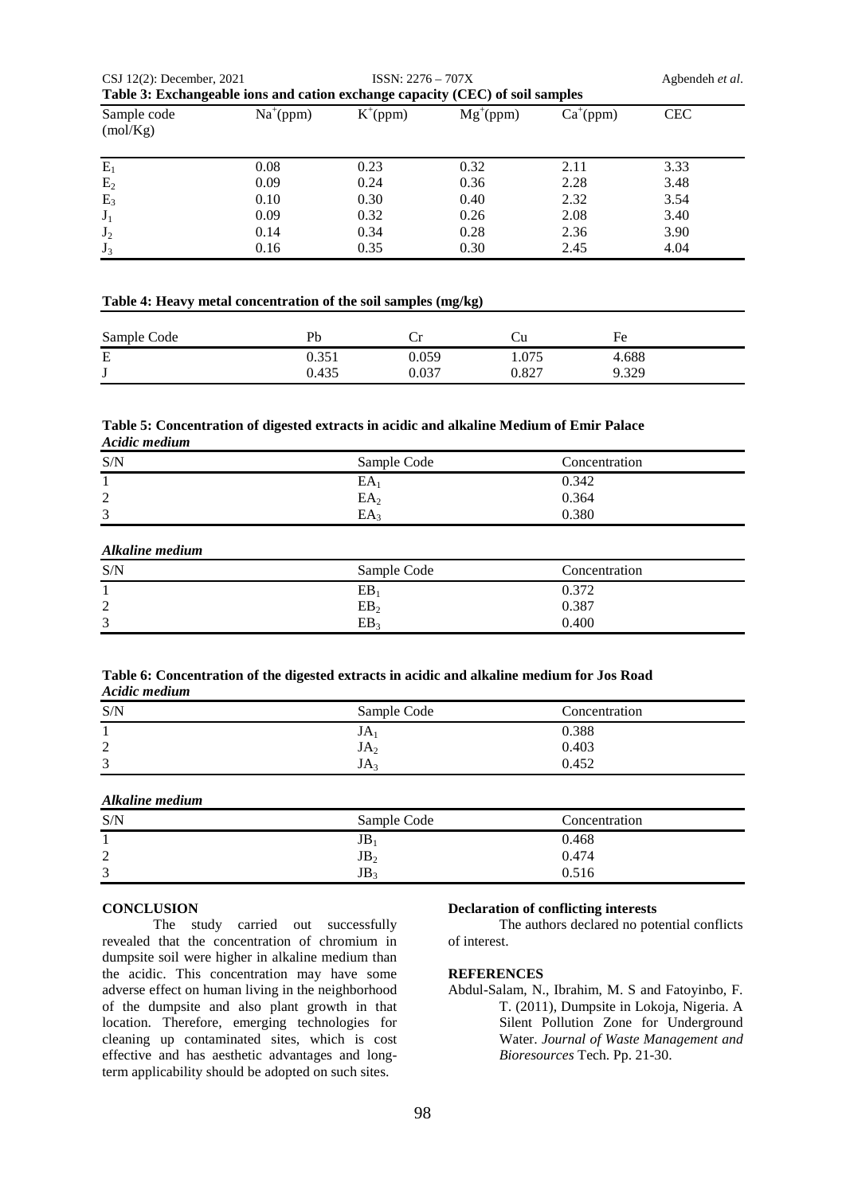| CSJ $12(2)$ : December, 2021                                                  |             | $ISSN: 2276 - 707X$ |               |             | Agbendeh et al. |
|-------------------------------------------------------------------------------|-------------|---------------------|---------------|-------------|-----------------|
| Table 3: Exchangeable ions and cation exchange capacity (CEC) of soil samples |             |                     |               |             |                 |
| Sample code<br>(mol/Kg)                                                       | $Na^+(ppm)$ | $K^{\dagger}(ppm)$  | $Mg^{+}(ppm)$ | $Ca^+(ppm)$ | <b>CEC</b>      |
| $E_1$                                                                         | 0.08        | 0.23                | 0.32          | 2.11        | 3.33            |
| E <sub>2</sub>                                                                | 0.09        | 0.24                | 0.36          | 2.28        | 3.48            |
| $E_3$                                                                         | 0.10        | 0.30                | 0.40          | 2.32        | 3.54            |
| $J_1$                                                                         | 0.09        | 0.32                | 0.26          | 2.08        | 3.40            |
| $J_2$                                                                         | 0.14        | 0.34                | 0.28          | 2.36        | 3.90            |
| $J_3$                                                                         | 0.16        | 0.35                | 0.30          | 2.45        | 4.04            |

#### **Table 4: Heavy metal concentration of the soil samples (mg/kg)**

| Sample Code | Pb    |       |       | Fe    |
|-------------|-------|-------|-------|-------|
| E           | n 25° | 0.059 | 1.075 | 4.688 |
| J           | 0.435 | 0.037 | 0.827 | 9.329 |

#### **Table 5: Concentration of digested extracts in acidic and alkaline Medium of Emir Palace** *Acidic medium*

| S/N         | Sample Code | Concentration |
|-------------|-------------|---------------|
|             | ΕA          | 0.342         |
| ⌒<br>∠      | $EA_2$      | 0.364         |
| $\sim$<br>Ć | EA          | 0.380         |

## *Alkaline medium*

| S/N         | Sample Code     | Concentration |
|-------------|-----------------|---------------|
|             | EB              | 0.372         |
| ⌒<br>⊷      | EB <sub>2</sub> | 0.387         |
| $\sim$<br>Ć | EB.             | 0.400         |

#### **Table 6: Concentration of the digested extracts in acidic and alkaline medium for Jos Road** *Acidic medium*

| S/N         | Sample Code     | Concentration |
|-------------|-----------------|---------------|
|             | JA              | 0.388         |
| ◠<br>↵      | JA <sub>2</sub> | 0.403         |
| $\sim$<br>Ć | JA:             | 0.452         |

## *Alkaline medium*

| S/N    | Sample Code     | Concentration |
|--------|-----------------|---------------|
|        | JD              | 0.468         |
| ◠<br>↵ | JB <sub>2</sub> | 0.474         |
| 3      | JB <sub>2</sub> | 0.516         |

## **CONCLUSION**

The study carried out successfully revealed that the concentration of chromium in dumpsite soil were higher in alkaline medium than the acidic. This concentration may have some adverse effect on human living in the neighborhood of the dumpsite and also plant growth in that location. Therefore, emerging technologies for cleaning up contaminated sites, which is cost effective and has aesthetic advantages and longterm applicability should be adopted on such sites.

## **Declaration of conflicting interests**

The authors declared no potential conflicts of interest.

#### **REFERENCES**

Abdul-Salam, N., Ibrahim, M. S and Fatoyinbo, F. T. (2011), Dumpsite in Lokoja, Nigeria. A Silent Pollution Zone for Underground Water. *Journal of Waste Management and Bioresources* Tech. Pp. 21-30.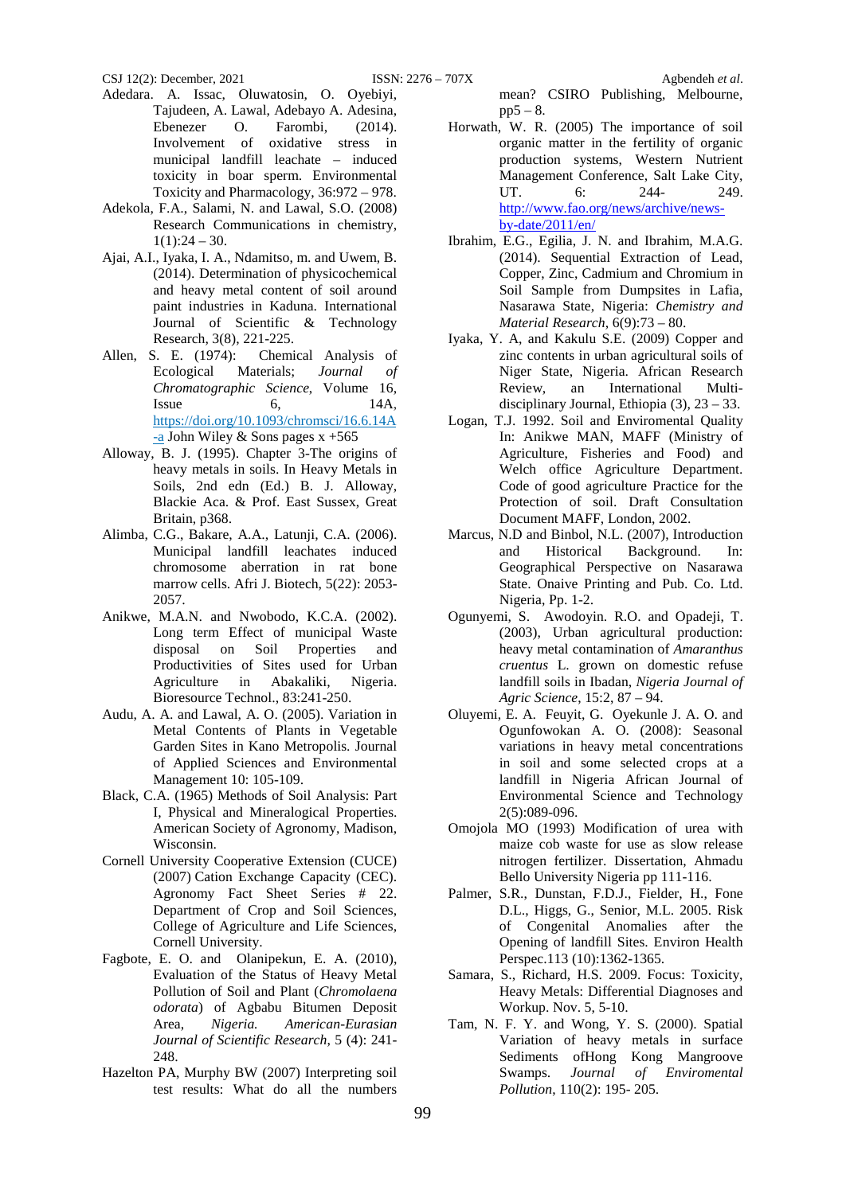- Adedara. A. Issac, Oluwatosin, O. Oyebiyi, Tajudeen, A. Lawal, Adebayo A. Adesina, Ebenezer O. Farombi, (2014).<br>Involvement of oxidative stress in oxidative stress in municipal landfill leachate – induced toxicity in boar sperm. Environmental Toxicity and Pharmacology, 36:972 – 978.
- Adekola, F.A., Salami, N. and Lawal, S.O. (2008) Research Communications in chemistry,  $1(1):24 - 30.$
- Ajai, A.I., Iyaka, I. A., Ndamitso, m. and Uwem, B. (2014). Determination of physicochemical and heavy metal content of soil around paint industries in Kaduna. International Journal of Scientific & Technology Research, 3(8), 221-225.
- Allen, S. E. (1974): Chemical Analysis of Ecological Materials; *Journal of Chromatographic Science*, Volume 16, Issue  $6,$  14A, [https://doi.org/10.1093/chromsci/16.6.14A](https://doi.org/10.1093/chromsci/16.6.14A-a) [-a](https://doi.org/10.1093/chromsci/16.6.14A-a) John Wiley & Sons pages  $x + 565$
- Alloway, B. J. (1995). Chapter 3-The origins of heavy metals in soils. In Heavy Metals in Soils, 2nd edn (Ed.) B. J. Alloway, Blackie Aca. & Prof. East Sussex, Great Britain, p368.
- Alimba, C.G., Bakare, A.A., Latunji, C.A. (2006). Municipal landfill leachates induced chromosome aberration in rat bone marrow cells. Afri J. Biotech, 5(22): 2053- 2057.
- Anikwe, M.A.N. and Nwobodo, K.C.A. (2002). Long term Effect of municipal Waste disposal on Soil Properties and Productivities of Sites used for Urban Agriculture in Abakaliki, Nigeria. Bioresource Technol., 83:241-250.
- Audu, A. A. and Lawal, A. O. (2005). Variation in Metal Contents of Plants in Vegetable Garden Sites in Kano Metropolis. Journal of Applied Sciences and Environmental Management 10: 105-109.
- Black, C.A. (1965) Methods of Soil Analysis: Part I, Physical and Mineralogical Properties. American Society of Agronomy, Madison, Wisconsin.
- Cornell University Cooperative Extension (CUCE) (2007) [Cation Exchange Capacity \(CEC\).](http://nmsp.cals.cornell.edu/publications/factsheets/factsheet22.pdf)  [Agronomy Fact Sheet Series # 22.](http://nmsp.cals.cornell.edu/publications/factsheets/factsheet22.pdf) Department of Crop and Soil Sciences, College of Agriculture and Life Sciences, Cornell University.
- [Fagbote,](https://www.researchgate.net/scientific-contributions/Emmanuel-Fagbote-762230?_sg%5B0%5D=yOENryvL2twm3AC9xxpX00sklCd9xf989jQu5RMSg_ftgLE1A0TQmqy2bkc2SXAVmCZOV7U.KYQyXzVQWCfr51WEeyeUNIFL8vzbbVIGceCfcJdBdi9LbJEr32-skWMw58iNpiY9qO23QeXCMlVQHPtgPytaOA&_sg%5B1%5D=0e923G0r_VJ7UXPMgn_7yvniRx-YTnhwYs5caIdZoEFwTMrC6w6CPIv7uEdG3u4n8-OqCiw.d5UdVlpXD-w_GS8u2qKfYonpnQLIyvyTQly2tYG34wGvgvuw8G-Ax4qM-WsIJy1uSu8fGBtMKbYCJWkSYkPnXw) E. O. and [Olanipekun,](https://www.researchgate.net/profile/Emmanual-Olanipekun?_sg%5B0%5D=yOENryvL2twm3AC9xxpX00sklCd9xf989jQu5RMSg_ftgLE1A0TQmqy2bkc2SXAVmCZOV7U.KYQyXzVQWCfr51WEeyeUNIFL8vzbbVIGceCfcJdBdi9LbJEr32-skWMw58iNpiY9qO23QeXCMlVQHPtgPytaOA&_sg%5B1%5D=0e923G0r_VJ7UXPMgn_7yvniRx-YTnhwYs5caIdZoEFwTMrC6w6CPIv7uEdG3u4n8-OqCiw.d5UdVlpXD-w_GS8u2qKfYonpnQLIyvyTQly2tYG34wGvgvuw8G-Ax4qM-WsIJy1uSu8fGBtMKbYCJWkSYkPnXw) E. A. (2010), Evaluation of the Status of Heavy Metal Pollution of Soil and Plant (*Chromolaena odorata*) of Agbabu Bitumen Deposit Area, *Nigeria. American-Eurasian Journal of Scientific Research*, 5 (4): 241- 248.
- Hazelton PA, Murphy BW (2007) Interpreting soil test results: What do all the numbers

mean? CSIRO Publishing, Melbourne,  $pp5 - 8.$ 

- Horwath, W. R. (2005) The importance of soil organic matter in the fertility of organic production systems, Western Nutrient Management Conference, Salt Lake City,<br>UT. 6: 244-249. UT. 6: 244- 249. [http://www.fao.org/news/archive/news](http://www.fao.org/news/archive/news-by-date/2011/en/)[by-date/2011/en/](http://www.fao.org/news/archive/news-by-date/2011/en/)
- Ibrahim, E.G., Egilia, J. N. and Ibrahim, M.A.G. (2014). Sequential Extraction of Lead, Copper, Zinc, Cadmium and Chromium in Soil Sample from Dumpsites in Lafia, Nasarawa State, Nigeria: *Chemistry and Material Research*, 6(9):73 – 80.
- Iyaka, Y. A, and Kakulu S.E. (2009) Copper and zinc contents in urban agricultural soils of Niger State, Nigeria. African Research an International Multidisciplinary Journal, Ethiopia (3), 23 – 33.
- Logan, T.J. 1992. Soil and Enviromental Quality In: Anikwe MAN, MAFF (Ministry of Agriculture, Fisheries and Food) and Welch office Agriculture Department. Code of good agriculture Practice for the Protection of soil. Draft Consultation Document MAFF, London, 2002.
- Marcus, N.D and Binbol, N.L. (2007), Introduction and Historical Background. In: Geographical Perspective on Nasarawa State. Onaive Printing and Pub. Co. Ltd. Nigeria, Pp. 1-2.
- Ogunyemi, S. Awodoyin. R.O. and Opadeji, T. (2003), Urban agricultural production: heavy metal contamination of *Amaranthus cruentus* L. grown on domestic refuse landfill soils in Ibadan, *Nigeria Journal of Agric Science*, 15:2, 87 – 94.
- Oluyemi, E. A. Feuyit, G. Oyekunle J. A. O. and Ogunfowokan A. O. (2008): Seasonal variations in heavy metal concentrations in soil and some selected crops at a landfill in Nigeria African Journal of Environmental Science and Technology 2(5):089-096.
- Omojola MO (1993) Modification of urea with maize cob waste for use as slow release nitrogen fertilizer. Dissertation, Ahmadu Bello University Nigeria pp 111-116.
- Palmer, S.R., Dunstan, F.D.J., Fielder, H., Fone D.L., Higgs, G., Senior, M.L. 2005. Risk of Congenital Anomalies after the Opening of landfill Sites. Environ Health Perspec.113 (10):1362-1365.
- Samara, S., Richard, H.S. 2009. Focus: Toxicity, Heavy Metals: Differential Diagnoses and Workup. Nov. 5, 5-10.
- Tam, N. F. Y. and Wong, Y. S. (2000). Spatial Variation of heavy metals in surface Sediments ofHong Kong Mangroove Swamps. *Journal of Enviromental Pollution*, 110(2): 195- 205.